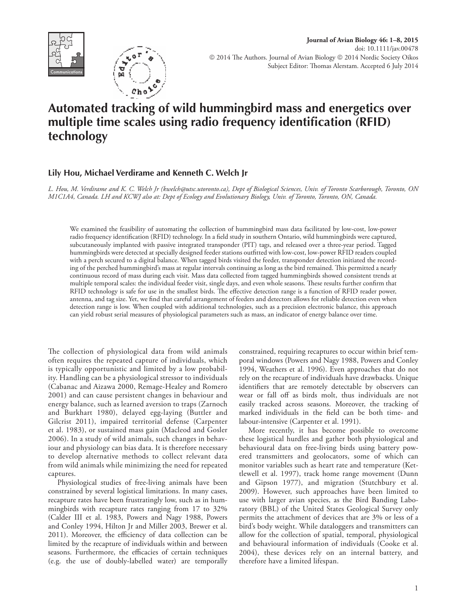



# **Automated tracking of wild hummingbird mass and energetics over multiple time scales using radio frequency identification (RFID) technology**

## **Lily Hou, Michael Verdirame and Kenneth C. Welch Jr**

*L. Hou, M. Verdirame and K. C. Welch Jr (kwelch@utsc.utoronto.ca), Dept of Biological Sciences, Univ. of Toronto Scarborough, Toronto, ON M1C1A4, Canada. LH and KCWJ also at: Dept of Ecology and Evolutionary Biology, Univ. of Toronto, Toronto, ON, Canada.*

We examined the feasibility of automating the collection of hummingbird mass data facilitated by low-cost, low-power radio frequency identification (RFID) technology. In a field study in southern Ontario, wild hummingbirds were captured, subcutaneously implanted with passive integrated transponder (PIT) tags, and released over a three-year period. Tagged hummingbirds were detected at specially designed feeder stations outfitted with low-cost, low-power RFID readers coupled with a perch secured to a digital balance. When tagged birds visited the feeder, transponder detection initiated the recording of the perched hummingbird's mass at regular intervals continuing as long as the bird remained. This permitted a nearly continuous record of mass during each visit. Mass data collected from tagged hummingbirds showed consistent trends at multiple temporal scales: the individual feeder visit, single days, and even whole seasons. These results further confirm that RFID technology is safe for use in the smallest birds. The effective detection range is a function of RFID reader power, antenna, and tag size. Yet, we find that careful arrangement of feeders and detectors allows for reliable detection even when detection range is low. When coupled with additional technologies, such as a precision electronic balance, this approach can yield robust serial measures of physiological parameters such as mass, an indicator of energy balance over time.

The collection of physiological data from wild animals often requires the repeated capture of individuals, which is typically opportunistic and limited by a low probability. Handling can be a physiological stressor to individuals (Cabanac and Aizawa 2000, Remage-Healey and Romero 2001) and can cause persistent changes in behaviour and energy balance, such as learned aversion to traps (Zarnoch and Burkhart 1980), delayed egg-laying (Buttler and Gilcrist 2011), impaired territorial defense (Carpenter et al. 1983), or sustained mass gain (Macleod and Gosler 2006). In a study of wild animals, such changes in behaviour and physiology can bias data. It is therefore necessary to develop alternative methods to collect relevant data from wild animals while minimizing the need for repeated captures.

Physiological studies of free-living animals have been constrained by several logistical limitations. In many cases, recapture rates have been frustratingly low, such as in hummingbirds with recapture rates ranging from 17 to 32% (Calder III et al. 1983, Powers and Nagy 1988, Powers and Conley 1994, Hilton Jr and Miller 2003, Brewer et al. 2011). Moreover, the efficiency of data collection can be limited by the recapture of individuals within and between seasons. Furthermore, the efficacies of certain techniques (e.g. the use of doubly-labelled water) are temporally constrained, requiring recaptures to occur within brief temporal windows (Powers and Nagy 1988, Powers and Conley 1994, Weathers et al. 1996). Even approaches that do not rely on the recapture of individuals have drawbacks. Unique identifiers that are remotely detectable by observers can wear or fall off as birds molt, thus individuals are not easily tracked across seasons. Moreover, the tracking of marked individuals in the field can be both time- and labour-intensive (Carpenter et al. 1991).

More recently, it has become possible to overcome these logistical hurdles and gather both physiological and behavioural data on free-living birds using battery powered transmitters and geolocators, some of which can monitor variables such as heart rate and temperature (Kettlewell et al. 1997), track home range movement (Dunn and Gipson 1977), and migration (Stutchbury et al. 2009). However, such approaches have been limited to use with larger avian species, as the Bird Banding Laboratory (BBL) of the United States Geological Survey only permits the attachment of devices that are 3% or less of a bird's body weight. While dataloggers and transmitters can allow for the collection of spatial, temporal, physiological and behavioural information of individuals (Cooke et al. 2004), these devices rely on an internal battery, and therefore have a limited lifespan.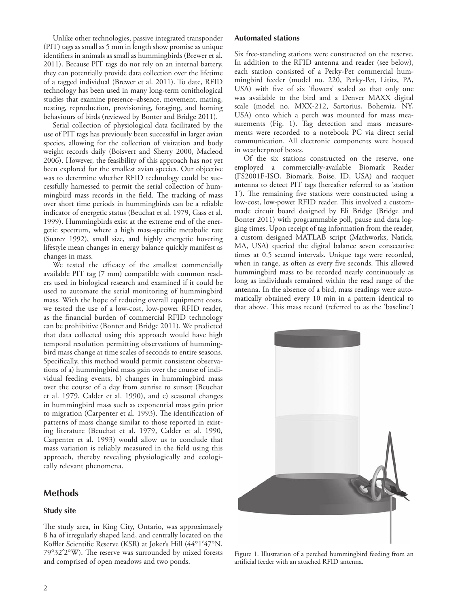Unlike other technologies, passive integrated transponder (PIT) tags as small as 5 mm in length show promise as unique identifiers in animals as small as hummingbirds (Brewer et al. 2011). Because PIT tags do not rely on an internal battery, they can potentially provide data collection over the lifetime of a tagged individual (Brewer et al. 2011). To date, RFID technology has been used in many long-term ornithological studies that examine presence–absence, movement, mating, nesting, reproduction, provisioning, foraging, and homing behaviours of birds (reviewed by Bonter and Bridge 2011).

Serial collection of physiological data facilitated by the use of PIT tags has previously been successful in larger avian species, allowing for the collection of visitation and body weight records daily (Boisvert and Sherry 2000, Macleod 2006). However, the feasibility of this approach has not yet been explored for the smallest avian species. Our objective was to determine whether RFID technology could be successfully harnessed to permit the serial collection of hummingbird mass records in the field. The tracking of mass over short time periods in hummingbirds can be a reliable indicator of energetic status (Beuchat et al. 1979, Gass et al. 1999). Hummingbirds exist at the extreme end of the energetic spectrum, where a high mass-specific metabolic rate (Suarez 1992), small size, and highly energetic hovering lifestyle mean changes in energy balance quickly manifest as changes in mass.

We tested the efficacy of the smallest commercially available PIT tag (7 mm) compatible with common readers used in biological research and examined if it could be used to automate the serial monitoring of hummingbird mass. With the hope of reducing overall equipment costs, we tested the use of a low-cost, low-power RFID reader, as the financial burden of commercial RFID technology can be prohibitive (Bonter and Bridge 2011). We predicted that data collected using this approach would have high temporal resolution permitting observations of hummingbird mass change at time scales of seconds to entire seasons. Specifically, this method would permit consistent observations of a) hummingbird mass gain over the course of individual feeding events, b) changes in hummingbird mass over the course of a day from sunrise to sunset (Beuchat et al. 1979, Calder et al. 1990), and c) seasonal changes in hummingbird mass such as exponential mass gain prior to migration (Carpenter et al. 1993). The identification of patterns of mass change similar to those reported in existing literature (Beuchat et al. 1979, Calder et al. 1990, Carpenter et al. 1993) would allow us to conclude that mass variation is reliably measured in the field using this approach, thereby revealing physiologically and ecologically relevant phenomena.

## **Methods**

## **Study site**

The study area, in King City, Ontario, was approximately 8 ha of irregularly shaped land, and centrally located on the Koffler Scientific Reserve (KSR) at Joker's Hill (44°1′47°N, 79°32′2°W). The reserve was surrounded by mixed forests and comprised of open meadows and two ponds.

#### **Automated stations**

Six free-standing stations were constructed on the reserve. In addition to the RFID antenna and reader (see below), each station consisted of a Perky-Pet commercial hummingbird feeder (model no. 220, Perky-Pet, Lititz, PA, USA) with five of six 'flowers' sealed so that only one was available to the bird and a Denver MAXX digital scale (model no. MXX-212, Sartorius, Bohemia, NY, USA) onto which a perch was mounted for mass measurements (Fig. 1). Tag detection and mass measurements were recorded to a notebook PC via direct serial communication. All electronic components were housed in weatherproof boxes.

Of the six stations constructed on the reserve, one employed a commercially-available Biomark Reader (FS2001F-ISO, Biomark, Boise, ID, USA) and racquet antenna to detect PIT tags (hereafter referred to as 'station 1'). The remaining five stations were constructed using a low-cost, low-power RFID reader. This involved a custommade circuit board designed by Eli Bridge (Bridge and Bonter 2011) with programmable poll, pause and data logging times. Upon receipt of tag information from the reader, a custom designed MATLAB script (Mathworks, Natick, MA, USA) queried the digital balance seven consecutive times at 0.5 second intervals. Unique tags were recorded, when in range, as often as every five seconds. This allowed hummingbird mass to be recorded nearly continuously as long as individuals remained within the read range of the antenna. In the absence of a bird, mass readings were automatically obtained every 10 min in a pattern identical to that above. This mass record (referred to as the 'baseline')



Figure 1. Illustration of a perched hummingbird feeding from an artificial feeder with an attached RFID antenna.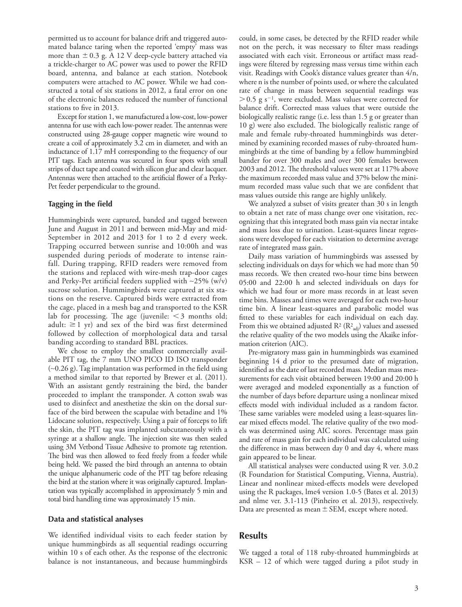permitted us to account for balance drift and triggered automated balance taring when the reported 'empty' mass was more than  $\pm$  0.3 g. A 12 V deep-cycle battery attached via a trickle-charger to AC power was used to power the RFID board, antenna, and balance at each station. Notebook computers were attached to AC power. While we had constructed a total of six stations in 2012, a fatal error on one of the electronic balances reduced the number of functional stations to five in 2013.

Except for station 1, we manufactured a low-cost, low-power antenna for use with each low-power reader. The antennas were constructed using 28-gauge copper magnetic wire wound to create a coil of approximately 3.2 cm in diameter, and with an inductance of 1.17 mH corresponding to the frequency of our PIT tags. Each antenna was secured in four spots with small strips of duct tape and coated with silicon glue and clear lacquer. Antennas were then attached to the artificial flower of a Perky-Pet feeder perpendicular to the ground.

#### **Tagging in the field**

Hummingbirds were captured, banded and tagged between June and August in 2011 and between mid-May and mid-September in 2012 and 2013 for 1 to 2 d every week. Trapping occurred between sunrise and 10:00h and was suspended during periods of moderate to intense rainfall. During trapping, RFID readers were removed from the stations and replaced with wire-mesh trap-door cages and Perky-Pet artificial feeders supplied with ∼25% (w/v) sucrose solution. Hummingbirds were captured at six stations on the reserve. Captured birds were extracted from the cage, placed in a mesh bag and transported to the KSR lab for processing. The age (juvenile:  $\leq$  3 months old; adult:  $\geq 1$  yr) and sex of the bird was first determined followed by collection of morphological data and tarsal banding according to standard BBL practices.

We chose to employ the smallest commercially available PIT tag, the 7 mm UNO PICO ID ISO transponder (∼0.26 g). Tag implantation was performed in the field using a method similar to that reported by Brewer et al. (2011). With an assistant gently restraining the bird, the bander proceeded to implant the transponder. A cotton swab was used to disinfect and anesthetize the skin on the dorsal surface of the bird between the scapulae with betadine and 1% Lidocane solution, respectively. Using a pair of forceps to lift the skin, the PIT tag was implanted subcutaneously with a syringe at a shallow angle. The injection site was then sealed using 3M Vetbond Tissue Adhesive to promote tag retention. The bird was then allowed to feed freely from a feeder while being held. We passed the bird through an antenna to obtain the unique alphanumeric code of the PIT tag before releasing the bird at the station where it was originally captured. Implantation was typically accomplished in approximately 5 min and total bird handling time was approximately 15 min.

## **Data and statistical analyses**

We identified individual visits to each feeder station by unique hummingbirds as all sequential readings occurring within 10 s of each other. As the response of the electronic balance is not instantaneous, and because hummingbirds could, in some cases, be detected by the RFID reader while not on the perch, it was necessary to filter mass readings associated with each visit. Erroneous or artifact mass readings were filtered by regressing mass versus time within each visit. Readings with Cook's distance values greater than 4/n, where n is the number of points used, or where the calculated rate of change in mass between sequential readings was  $>$  0.5 g s<sup>-1</sup>, were excluded. Mass values were corrected for balance drift. Corrected mass values that were outside the biologically realistic range (i.e. less than 1.5 g or greater than 10 g) were also excluded. The biologically realistic range of male and female ruby-throated hummingbirds was determined by examining recorded masses of ruby-throated hummingbirds at the time of banding by a fellow hummingbird bander for over 300 males and over 300 females between 2003 and 2012. The threshold values were set at 117% above the maximum recorded mass value and 37% below the minimum recorded mass value such that we are confident that mass values outside this range are highly unlikely.

We analyzed a subset of visits greater than 30 s in length to obtain a net rate of mass change over one visitation, recognizing that this integrated both mass gain via nectar intake and mass loss due to urination. Least-squares linear regressions were developed for each visitation to determine average rate of integrated mass gain.

Daily mass variation of hummingbirds was assessed by selecting individuals on days for which we had more than 50 mass records. We then created two-hour time bins between 05:00 and 22:00 h and selected individuals on days for which we had four or more mass records in at least seven time bins. Masses and times were averaged for each two-hour time bin. A linear least-squares and parabolic model was fitted to these variables for each individual on each day. From this we obtained adjusted  $R^2$  ( $R^2$ <sub>adj</sub>) values and assessed the relative quality of the two models using the Akaike information criterion (AIC).

Pre-migratory mass gain in hummingbirds was examined beginning 14 d prior to the presumed date of migration, identified as the date of last recorded mass. Median mass measurements for each visit obtained between 19:00 and 20:00 h were averaged and modeled exponentially as a function of the number of days before departure using a nonlinear mixed effects model with individual included as a random factor. These same variables were modeled using a least-squares linear mixed effects model. The relative quality of the two models was determined using AIC scores. Percentage mass gain and rate of mass gain for each individual was calculated using the difference in mass between day 0 and day 4, where mass gain appeared to be linear.

All statistical analyses were conducted using R ver. 3.0.2 (R Foundation for Statistical Computing, Vienna, Austria). Linear and nonlinear mixed-effects models were developed using the R packages, lme4 version 1.0-5 (Bates et al. 2013) and nlme ver. 3.1-113 (Pinheiro et al. 2013), respectively. Data are presented as mean  $\pm$  SEM, except where noted.

## **Results**

We tagged a total of 118 ruby-throated hummingbirds at KSR – 12 of which were tagged during a pilot study in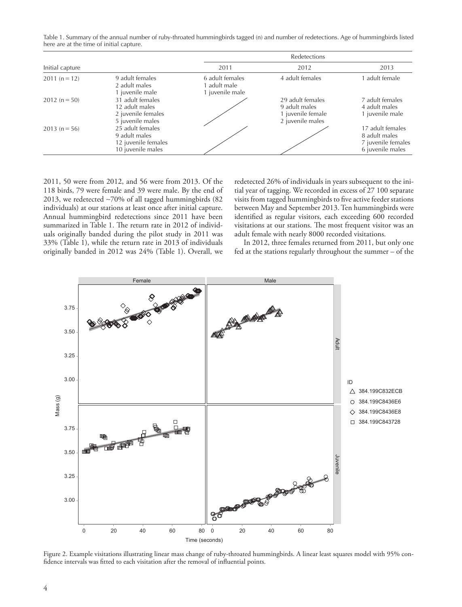Table 1. Summary of the annual number of ruby-throated hummingbirds tagged (n) and number of redetections. Age of hummingbirds listed here are at the time of initial capture.

|                 |                                                                               | Redetections                                     |                                                                            |                                                                             |
|-----------------|-------------------------------------------------------------------------------|--------------------------------------------------|----------------------------------------------------------------------------|-----------------------------------------------------------------------------|
| Initial capture |                                                                               | 2011                                             | 2012                                                                       | 2013                                                                        |
| $2011(n = 12)$  | 9 adult females<br>2 adult males<br>1 juvenile male                           | 6 adult females<br>adult male<br>1 juvenile male | 4 adult females                                                            | 1 adult female                                                              |
| $2012(n=50)$    | 31 adult females<br>12 adult males<br>2 juvenile females<br>5 juvenile males  |                                                  | 29 adult females<br>9 adult males<br>1 juvenile female<br>2 juvenile males | 7 adult females<br>4 adult males<br>1 juvenile male                         |
| $2013(n=56)$    | 25 adult females<br>9 adult males<br>12 juvenile females<br>10 juvenile males |                                                  |                                                                            | 17 adult females<br>8 adult males<br>7 juvenile females<br>6 juvenile males |

2011, 50 were from 2012, and 56 were from 2013. Of the 118 birds, 79 were female and 39 were male. By the end of 2013, we redetected ∼70% of all tagged hummingbirds (82 individuals) at our stations at least once after initial capture. Annual hummingbird redetections since 2011 have been summarized in Table 1. The return rate in 2012 of individuals originally banded during the pilot study in 2011 was 33% (Table 1), while the return rate in 2013 of individuals originally banded in 2012 was 24% (Table 1). Overall, we redetected 26% of individuals in years subsequent to the initial year of tagging. We recorded in excess of 27 100 separate visits from tagged hummingbirds to five active feeder stations between May and September 2013. Ten hummingbirds were identified as regular visitors, each exceeding 600 recorded visitations at our stations. The most frequent visitor was an adult female with nearly 8000 recorded visitations.

In 2012, three females returned from 2011, but only one fed at the stations regularly throughout the summer – of the



Figure 2. Example visitations illustrating linear mass change of ruby-throated hummingbirds. A linear least squares model with 95% confidence intervals was fitted to each visitation after the removal of influential points.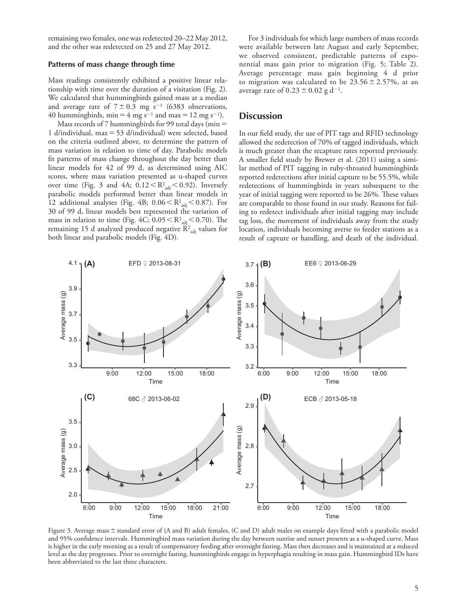remaining two females, one was redetected 20–22 May 2012, and the other was redetected on 25 and 27 May 2012.

#### **Patterns of mass change through time**

Mass readings consistently exhibited a positive linear relationship with time over the duration of a visitation (Fig. 2). We calculated that hummingbirds gained mass at a median and average rate of  $7\pm0.3$  mg s<sup>-1</sup> (6383 observations, 40 hummingbirds, min = 4 mg s<sup>-1</sup> and max = 12 mg s<sup>-1</sup>).

Mass records of 7 hummingbirds for 99 total days ( $min$  = 1 d/individual, max  $=$  53 d/individual) were selected, based on the criteria outlined above, to determine the pattern of mass variation in relation to time of day. Parabolic models fit patterns of mass change throughout the day better than linear models for 42 of 99 d, as determined using AIC scores, where mass variation presented as u-shaped curves over time (Fig. 3 and 4A;  $0.12 \leq R^2_{\text{adj}} \leq 0.92$ ). Inversely parabolic models performed better than linear models in 12 additional analyses (Fig. 4B;  $0.06 \leq R^2_{\text{adj}} \leq 0.87$ ). For 30 of 99 d, linear models best represented the variation of mass in relation to time (Fig. 4C;  $0.05 \leq R_{\text{adj}}^2 \leq 0.70$ ). The remaining 15 d analyzed produced negative  $R^2_{\text{adj}}$  values for both linear and parabolic models (Fig. 4D).

For 3 individuals for which large numbers of mass records were available between late August and early September, we observed consistent, predictable patterns of exponential mass gain prior to migration (Fig. 5; Table 2). Average percentage mass gain beginning 4 d prior to migration was calculated to be  $23.56 \pm 2.57\%$ , at an average rate of  $0.23 \pm 0.02$  g d<sup>-1</sup>.

## **Discussion**

In our field study, the use of PIT tags and RFID technology allowed the redetection of 70% of tagged individuals, which is much greater than the recapture rates reported previously. A smaller field study by Brewer et al. (2011) using a similar method of PIT tagging in ruby-throated hummingbirds reported redetections after initial capture to be 55.5%, while redetections of hummingbirds in years subsequent to the year of initial tagging were reported to be 26%. These values are comparable to those found in our study. Reasons for failing to redetect individuals after initial tagging may include tag loss, the movement of individuals away from the study location, individuals becoming averse to feeder stations as a result of capture or handling, and death of the individual.



Figure 3. Average mass  $\pm$  standard error of (A and B) adult females, (C and D) adult males on example days fitted with a parabolic model and 95% confidence intervals. Hummingbird mass variation during the day between sunrise and sunset presents as a u-shaped curve. Mass is higher in the early morning as a result of compensatory feeding after overnight fasting. Mass then decreases and is maintained at a reduced level as the day progresses. Prior to overnight fasting, hummingbirds engage in hyperphagia resulting in mass gain. Hummingbird IDs have been abbreviated to the last three characters.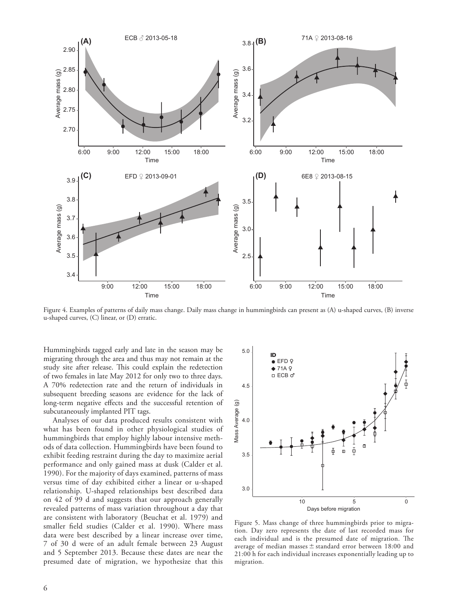

Figure 4. Examples of patterns of daily mass change. Daily mass change in hummingbirds can present as (A) u-shaped curves, (B) inverse u-shaped curves, (C) linear, or (D) erratic.

Hummingbirds tagged early and late in the season may be migrating through the area and thus may not remain at the study site after release. This could explain the redetection of two females in late May 2012 for only two to three days. A 70% redetection rate and the return of individuals in subsequent breeding seasons are evidence for the lack of long-term negative effects and the successful retention of subcutaneously implanted PIT tags.

Analyses of our data produced results consistent with what has been found in other physiological studies of hummingbirds that employ highly labour intensive methods of data collection. Hummingbirds have been found to exhibit feeding restraint during the day to maximize aerial performance and only gained mass at dusk (Calder et al. 1990). For the majority of days examined, patterns of mass versus time of day exhibited either a linear or u-shaped relationship. U-shaped relationships best described data on 42 of 99 d and suggests that our approach generally revealed patterns of mass variation throughout a day that are consistent with laboratory (Beuchat et al. 1979) and smaller field studies (Calder et al. 1990). Where mass data were best described by a linear increase over time, 7 of 30 d were of an adult female between 23 August and 5 September 2013. Because these dates are near the presumed date of migration, we hypothesize that this



Figure 5. Mass change of three hummingbirds prior to migration. Day zero represents the date of last recorded mass for each individual and is the presumed date of migration. The average of median masses  $\pm$  standard error between 18:00 and 21:00 h for each individual increases exponentially leading up to migration.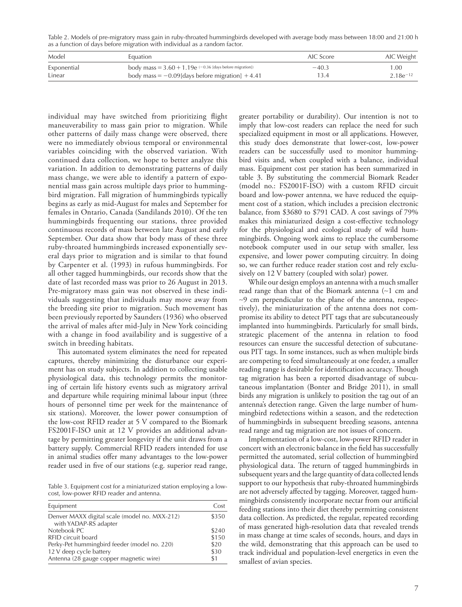Table 2. Models of pre-migratory mass gain in ruby-throated hummingbirds developed with average body mass between 18:00 and 21:00 h as a function of days before migration with individual as a random factor.

| Model       | Equation                                                             | AIC Score | AIC Weight    |
|-------------|----------------------------------------------------------------------|-----------|---------------|
| Exponential | body mass $= 3.60 + 1.19e^{(-0.36 \text{ [days before migration]})}$ | $-40.3$   | .00           |
| Linear      | body mass $= -0.09$ [days before migration] $+4.41$                  |           | $2.18e^{-12}$ |

individual may have switched from prioritizing flight maneuverability to mass gain prior to migration. While other patterns of daily mass change were observed, there were no immediately obvious temporal or environmental variables coinciding with the observed variation. With continued data collection, we hope to better analyze this variation. In addition to demonstrating patterns of daily mass change, we were able to identify a pattern of exponential mass gain across multiple days prior to hummingbird migration. Fall migration of hummingbirds typically begins as early as mid-August for males and September for females in Ontario, Canada (Sandilands 2010). Of the ten hummingbirds frequenting our stations, three provided continuous records of mass between late August and early September. Our data show that body mass of these three ruby-throated hummingbirds increased exponentially several days prior to migration and is similar to that found by Carpenter et al. (1993) in rufous hummingbirds. For all other tagged hummingbirds, our records show that the date of last recorded mass was prior to 26 August in 2013. Pre-migratory mass gain was not observed in these individuals suggesting that individuals may move away from the breeding site prior to migration. Such movement has been previously reported by Saunders (1936) who observed the arrival of males after mid-July in New York coinciding with a change in food availability and is suggestive of a switch in breeding habitats.

This automated system eliminates the need for repeated captures, thereby minimizing the disturbance our experiment has on study subjects. In addition to collecting usable physiological data, this technology permits the monitoring of certain life history events such as migratory arrival and departure while requiring minimal labour input (three hours of personnel time per week for the maintenance of six stations). Moreover, the lower power consumption of the low-cost RFID reader at 5 V compared to the Biomark FS2001F-ISO unit at 12 V provides an additional advantage by permitting greater longevity if the unit draws from a battery supply. Commercial RFID readers intended for use in animal studies offer many advantages to the low-power reader used in five of our stations (e.g. superior read range,

Table 3. Equipment cost for a miniaturized station employing a lowcost, low-power RFID reader and antenna.

| Equipment                                                              | Cost  |
|------------------------------------------------------------------------|-------|
| Denver MAXX digital scale (model no. MXX-212)<br>with YADAP-RS adapter | \$350 |
| Notebook PC                                                            | \$240 |
| REID circuit board                                                     | \$150 |
| Perky-Pet hummingbird feeder (model no. 220)                           | \$20  |
| 12 V deep cycle battery                                                | \$30  |
| Antenna (28 gauge copper magnetic wire)                                | \$1   |

greater portability or durability). Our intention is not to imply that low-cost readers can replace the need for such specialized equipment in most or all applications. However, this study does demonstrate that lower-cost, low-power readers can be successfully used to monitor hummingbird visits and, when coupled with a balance, individual mass. Equipment cost per station has been summarized in table 3. By substituting the commercial Biomark Reader (model no.: FS2001F-ISO) with a custom RFID circuit board and low-power antenna, we have reduced the equipment cost of a station, which includes a precision electronic balance, from \$3680 to \$791 CAD. A cost savings of 79% makes this miniaturized design a cost-effective technology for the physiological and ecological study of wild hummingbirds. Ongoing work aims to replace the cumbersome notebook computer used in our setup with smaller, less expensive, and lower power computing circuitry. In doing so, we can further reduce reader station cost and rely exclusively on 12 V battery (coupled with solar) power.

While our design employs an antenna with a much smaller read range than that of the Biomark antenna (∼1 cm and ∼9 cm perpendicular to the plane of the antenna, respectively), the miniaturization of the antenna does not compromise its ability to detect PIT tags that are subcutaneously implanted into hummingbirds. Particularly for small birds, strategic placement of the antenna in relation to food resources can ensure the successful detection of subcutaneous PIT tags. In some instances, such as when multiple birds are competing to feed simultaneously at one feeder, a smaller reading range is desirable for identification accuracy. Though tag migration has been a reported disadvantage of subcutaneous implantation (Bonter and Bridge 2011), in small birds any migration is unlikely to position the tag out of an antenna's detection range. Given the large number of hummingbird redetections within a season, and the redetection of hummingbirds in subsequent breeding seasons, antenna read range and tag migration are not issues of concern.

Implementation of a low-cost, low-power RFID reader in concert with an electronic balance in the field has successfully permitted the automated, serial collection of hummingbird physiological data. The return of tagged hummingbirds in subsequent years and the large quantity of data collected lends support to our hypothesis that ruby-throated hummingbirds are not adversely affected by tagging. Moreover, tagged hummingbirds consistently incorporate nectar from our artificial feeding stations into their diet thereby permitting consistent data collection. As predicted, the regular, repeated recording of mass generated high-resolution data that revealed trends in mass change at time scales of seconds, hours, and days in the wild, demonstrating that this approach can be used to track individual and population-level energetics in even the smallest of avian species.